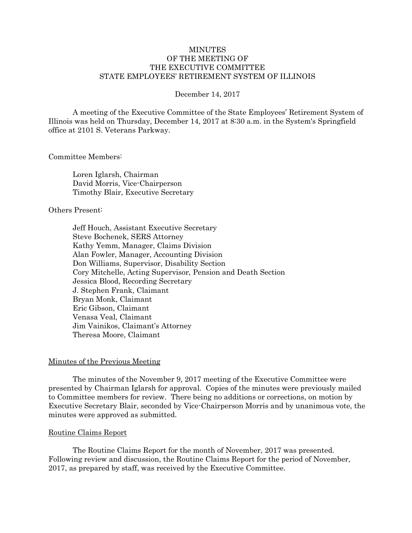# **MINUTES** OF THE MEETING OF THE EXECUTIVE COMMITTEE STATE EMPLOYEES' RETIREMENT SYSTEM OF ILLINOIS

#### December 14, 2017

A meeting of the Executive Committee of the State Employees' Retirement System of Illinois was held on Thursday, December 14, 2017 at 8:30 a.m. in the System's Springfield office at 2101 S. Veterans Parkway.

#### Committee Members:

Loren Iglarsh, Chairman David Morris, Vice-Chairperson Timothy Blair, Executive Secretary

# Others Present:

Jeff Houch, Assistant Executive Secretary Steve Bochenek, SERS Attorney Kathy Yemm, Manager, Claims Division Alan Fowler, Manager, Accounting Division Don Williams, Supervisor, Disability Section Cory Mitchelle, Acting Supervisor, Pension and Death Section Jessica Blood, Recording Secretary J. Stephen Frank, Claimant Bryan Monk, Claimant Eric Gibson, Claimant Venasa Veal, Claimant Jim Vainikos, Claimant's Attorney Theresa Moore, Claimant

## Minutes of the Previous Meeting

The minutes of the November 9, 2017 meeting of the Executive Committee were presented by Chairman Iglarsh for approval. Copies of the minutes were previously mailed to Committee members for review. There being no additions or corrections, on motion by Executive Secretary Blair, seconded by Vice-Chairperson Morris and by unanimous vote, the minutes were approved as submitted.

## Routine Claims Report

The Routine Claims Report for the month of November, 2017 was presented. Following review and discussion, the Routine Claims Report for the period of November, 2017, as prepared by staff, was received by the Executive Committee.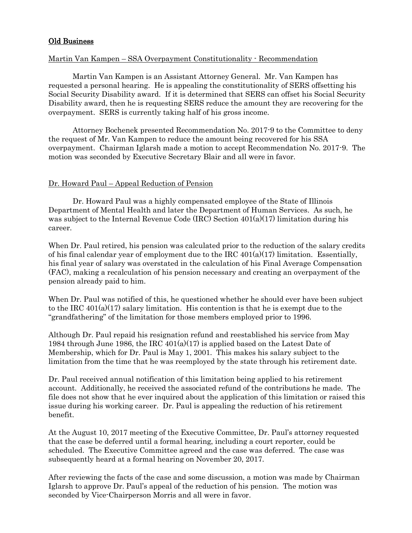# Old Business

## Martin Van Kampen – SSA Overpayment Constitutionality - Recommendation

Martin Van Kampen is an Assistant Attorney General. Mr. Van Kampen has requested a personal hearing. He is appealing the constitutionality of SERS offsetting his Social Security Disability award. If it is determined that SERS can offset his Social Security Disability award, then he is requesting SERS reduce the amount they are recovering for the overpayment. SERS is currently taking half of his gross income.

Attorney Bochenek presented Recommendation No. 2017-9 to the Committee to deny the request of Mr. Van Kampen to reduce the amount being recovered for his SSA overpayment. Chairman Iglarsh made a motion to accept Recommendation No. 2017-9. The motion was seconded by Executive Secretary Blair and all were in favor.

# Dr. Howard Paul – Appeal Reduction of Pension

Dr. Howard Paul was a highly compensated employee of the State of Illinois Department of Mental Health and later the Department of Human Services. As such, he was subject to the Internal Revenue Code (IRC) Section 401(a)(17) limitation during his career.

When Dr. Paul retired, his pension was calculated prior to the reduction of the salary credits of his final calendar year of employment due to the IRC  $401(a)(17)$  limitation. Essentially, his final year of salary was overstated in the calculation of his Final Average Compensation (FAC), making a recalculation of his pension necessary and creating an overpayment of the pension already paid to him.

When Dr. Paul was notified of this, he questioned whether he should ever have been subject to the IRC  $401(a)(17)$  salary limitation. His contention is that he is exempt due to the "grandfathering" of the limitation for those members employed prior to 1996.

Although Dr. Paul repaid his resignation refund and reestablished his service from May 1984 through June 1986, the IRC  $401(a)(17)$  is applied based on the Latest Date of Membership, which for Dr. Paul is May 1, 2001. This makes his salary subject to the limitation from the time that he was reemployed by the state through his retirement date.

Dr. Paul received annual notification of this limitation being applied to his retirement account. Additionally, he received the associated refund of the contributions he made. The file does not show that he ever inquired about the application of this limitation or raised this issue during his working career. Dr. Paul is appealing the reduction of his retirement benefit.

At the August 10, 2017 meeting of the Executive Committee, Dr. Paul's attorney requested that the case be deferred until a formal hearing, including a court reporter, could be scheduled. The Executive Committee agreed and the case was deferred. The case was subsequently heard at a formal hearing on November 20, 2017.

After reviewing the facts of the case and some discussion, a motion was made by Chairman Iglarsh to approve Dr. Paul's appeal of the reduction of his pension. The motion was seconded by Vice-Chairperson Morris and all were in favor.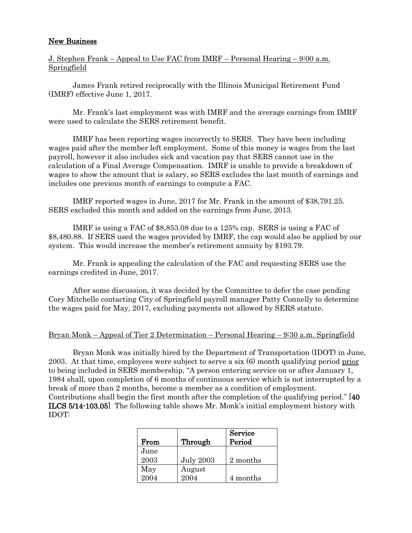# New Business

J. Stephen Frank – Appeal to Use FAC from IMRF – Personal Hearing – 9:00 a.m. Springfield

James Frank retired reciprocally with the Illinois Municipal Retirement Fund (IMRF) effective June 1, 2017.

Mr. Frank's last employment was with IMRF and the average earnings from IMRF were used to calculate the SERS retirement benefit.

IMRF has been reporting wages incorrectly to SERS. They have been including wages paid after the member left employment. Some of this money is wages from the last payroll, however it also includes sick and vacation pay that SERS cannot use in the calculation of a Final Average Compensation. IMRF is unable to provide a breakdown of wages to show the amount that is salary, so SERS excludes the last month of earnings and includes one previous month of earnings to compute a FAC.

IMRF reported wages in June, 2017 for Mr. Frank in the amount of \$38,791.25. SERS excluded this month and added on the earnings from June, 2013.

IMRF is using a FAC of \$8,853.08 due to a 125% cap. SERS is using a FAC of \$8,480.88. If SERS used the wages provided by IMRF, the cap would also be applied by our system. This would increase the member's retirement annuity by \$193.79.

Mr. Frank is appealing the calculation of the FAC and requesting SERS use the earnings credited in June, 2017.

After some discussion, it was decided by the Committee to defer the case pending Cory Mitchelle contacting City of Springfield payroll manager Patty Connelly to determine the wages paid for May, 2017, excluding payments not allowed by SERS statute.

## Bryan Monk – Appeal of Tier 2 Determination – Personal Hearing – 9:30 a.m. Springfield

Bryan Monk was initially hired by the Department of Transportation (IDOT) in June, 2003. At that time, employees were subject to serve a six (6) month qualifying period prior to being included in SERS membership, "A person entering service on or after January 1, 1984 shall, upon completion of 6 months of continuous service which is not interrupted by a break of more than 2 months, become a member as a condition of employment. Contributions shall begin the first month after the completion of the qualifying period." [40 ILCS 5/14-103.05] The following table shows Mr. Monk's initial employment history with IDOT:

|      |                  | Service  |
|------|------------------|----------|
| From | Through          | Period   |
| June |                  |          |
| 2003 | <b>July 2003</b> | 2 months |
| May  | August           |          |
| 2004 | 2004             | 4 months |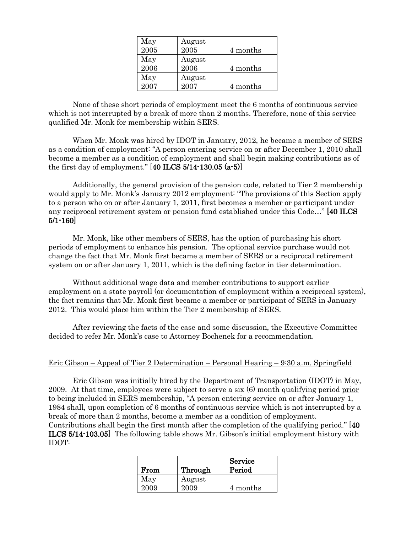| May  | August |          |
|------|--------|----------|
| 2005 | 2005   | 4 months |
| May  | August |          |
| 2006 | 2006   | 4 months |
| May  | August |          |
| 2007 | 2007   | 4 months |

None of these short periods of employment meet the 6 months of continuous service which is not interrupted by a break of more than 2 months. Therefore, none of this service qualified Mr. Monk for membership within SERS.

When Mr. Monk was hired by IDOT in January, 2012, he became a member of SERS as a condition of employment: "A person entering service on or after December 1, 2010 shall become a member as a condition of employment and shall begin making contributions as of the first day of employment." [40 ILCS 5/14-130.05 (a-5)]

Additionally, the general provision of the pension code, related to Tier 2 membership would apply to Mr. Monk's January 2012 employment: "The provisions of this Section apply to a person who on or after January 1, 2011, first becomes a member or participant under any reciprocal retirement system or pension fund established under this Code…" [40 ILCS 5/1-160]

Mr. Monk, like other members of SERS, has the option of purchasing his short periods of employment to enhance his pension. The optional service purchase would not change the fact that Mr. Monk first became a member of SERS or a reciprocal retirement system on or after January 1, 2011, which is the defining factor in tier determination.

Without additional wage data and member contributions to support earlier employment on a state payroll (or documentation of employment within a reciprocal system), the fact remains that Mr. Monk first became a member or participant of SERS in January 2012. This would place him within the Tier 2 membership of SERS.

After reviewing the facts of the case and some discussion, the Executive Committee decided to refer Mr. Monk's case to Attorney Bochenek for a recommendation.

## Eric Gibson – Appeal of Tier 2 Determination – Personal Hearing – 9:30 a.m. Springfield

Eric Gibson was initially hired by the Department of Transportation (IDOT) in May, 2009. At that time, employees were subject to serve a six (6) month qualifying period prior to being included in SERS membership, "A person entering service on or after January 1, 1984 shall, upon completion of 6 months of continuous service which is not interrupted by a break of more than 2 months, become a member as a condition of employment.

Contributions shall begin the first month after the completion of the qualifying period." [40 ILCS 5/14-103.05] The following table shows Mr. Gibson's initial employment history with IDOT:

| From        | Through        | Service<br>Period |
|-------------|----------------|-------------------|
| May<br>2009 | August<br>2009 | 4 months          |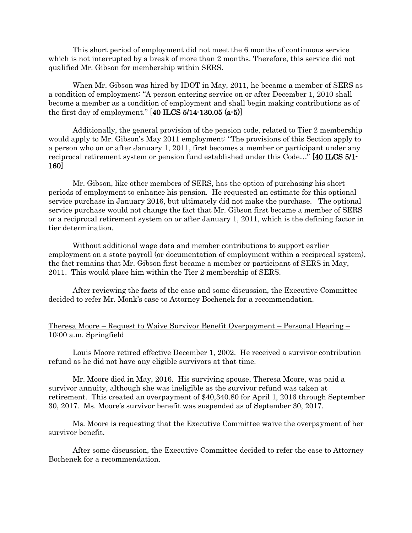This short period of employment did not meet the 6 months of continuous service which is not interrupted by a break of more than 2 months. Therefore, this service did not qualified Mr. Gibson for membership within SERS.

When Mr. Gibson was hired by IDOT in May, 2011, he became a member of SERS as a condition of employment: "A person entering service on or after December 1, 2010 shall become a member as a condition of employment and shall begin making contributions as of the first day of employment."  $[40$  ILCS 5/14-130.05  $(a-5)$ ]

Additionally, the general provision of the pension code, related to Tier 2 membership would apply to Mr. Gibson's May 2011 employment: "The provisions of this Section apply to a person who on or after January 1, 2011, first becomes a member or participant under any reciprocal retirement system or pension fund established under this Code…" [40 ILCS 5/1- 160]

Mr. Gibson, like other members of SERS, has the option of purchasing his short periods of employment to enhance his pension. He requested an estimate for this optional service purchase in January 2016, but ultimately did not make the purchase. The optional service purchase would not change the fact that Mr. Gibson first became a member of SERS or a reciprocal retirement system on or after January 1, 2011, which is the defining factor in tier determination.

Without additional wage data and member contributions to support earlier employment on a state payroll (or documentation of employment within a reciprocal system), the fact remains that Mr. Gibson first became a member or participant of SERS in May, 2011. This would place him within the Tier 2 membership of SERS.

After reviewing the facts of the case and some discussion, the Executive Committee decided to refer Mr. Monk's case to Attorney Bochenek for a recommendation.

## Theresa Moore – Request to Waive Survivor Benefit Overpayment – Personal Hearing – 10:00 a.m. Springfield

Louis Moore retired effective December 1, 2002. He received a survivor contribution refund as he did not have any eligible survivors at that time.

Mr. Moore died in May, 2016. His surviving spouse, Theresa Moore, was paid a survivor annuity, although she was ineligible as the survivor refund was taken at retirement. This created an overpayment of \$40,340.80 for April 1, 2016 through September 30, 2017. Ms. Moore's survivor benefit was suspended as of September 30, 2017.

Ms. Moore is requesting that the Executive Committee waive the overpayment of her survivor benefit.

After some discussion, the Executive Committee decided to refer the case to Attorney Bochenek for a recommendation.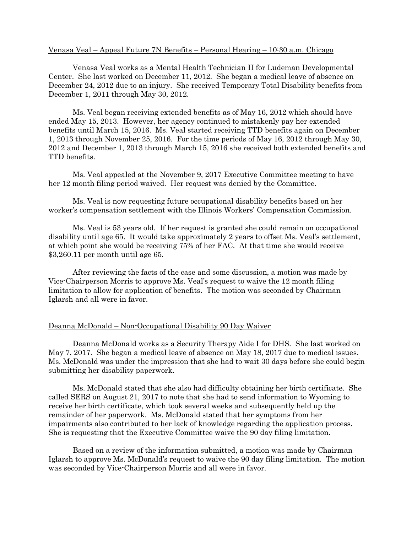#### Venasa Veal – Appeal Future 7N Benefits – Personal Hearing – 10:30 a.m. Chicago

Venasa Veal works as a Mental Health Technician II for Ludeman Developmental Center. She last worked on December 11, 2012. She began a medical leave of absence on December 24, 2012 due to an injury. She received Temporary Total Disability benefits from December 1, 2011 through May 30, 2012.

Ms. Veal began receiving extended benefits as of May 16, 2012 which should have ended May 15, 2013. However, her agency continued to mistakenly pay her extended benefits until March 15, 2016. Ms. Veal started receiving TTD benefits again on December 1, 2013 through November 25, 2016. For the time periods of May 16, 2012 through May 30, 2012 and December 1, 2013 through March 15, 2016 she received both extended benefits and TTD benefits.

Ms. Veal appealed at the November 9, 2017 Executive Committee meeting to have her 12 month filing period waived. Her request was denied by the Committee.

Ms. Veal is now requesting future occupational disability benefits based on her worker's compensation settlement with the Illinois Workers' Compensation Commission.

Ms. Veal is 53 years old. If her request is granted she could remain on occupational disability until age 65. It would take approximately 2 years to offset Ms. Veal's settlement, at which point she would be receiving 75% of her FAC. At that time she would receive \$3,260.11 per month until age 65.

After reviewing the facts of the case and some discussion, a motion was made by Vice-Chairperson Morris to approve Ms. Veal's request to waive the 12 month filing limitation to allow for application of benefits. The motion was seconded by Chairman Iglarsh and all were in favor.

## Deanna McDonald – Non-Occupational Disability 90 Day Waiver

Deanna McDonald works as a Security Therapy Aide I for DHS. She last worked on May 7, 2017. She began a medical leave of absence on May 18, 2017 due to medical issues. Ms. McDonald was under the impression that she had to wait 30 days before she could begin submitting her disability paperwork.

Ms. McDonald stated that she also had difficulty obtaining her birth certificate. She called SERS on August 21, 2017 to note that she had to send information to Wyoming to receive her birth certificate, which took several weeks and subsequently held up the remainder of her paperwork. Ms. McDonald stated that her symptoms from her impairments also contributed to her lack of knowledge regarding the application process. She is requesting that the Executive Committee waive the 90 day filing limitation.

Based on a review of the information submitted, a motion was made by Chairman Iglarsh to approve Ms. McDonald's request to waive the 90 day filing limitation. The motion was seconded by Vice-Chairperson Morris and all were in favor.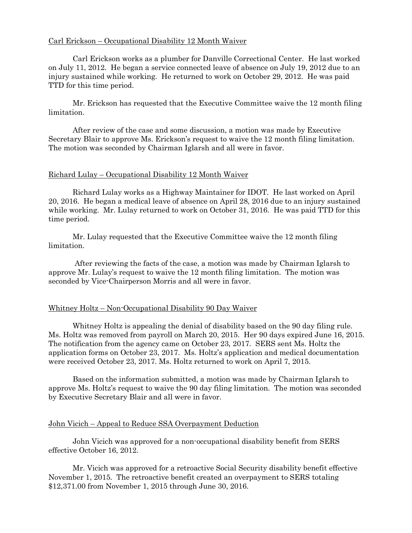# Carl Erickson – Occupational Disability 12 Month Waiver

 Carl Erickson works as a plumber for Danville Correctional Center. He last worked on July 11, 2012. He began a service connected leave of absence on July 19, 2012 due to an injury sustained while working. He returned to work on October 29, 2012. He was paid TTD for this time period.

Mr. Erickson has requested that the Executive Committee waive the 12 month filing limitation.

After review of the case and some discussion, a motion was made by Executive Secretary Blair to approve Ms. Erickson's request to waive the 12 month filing limitation. The motion was seconded by Chairman Iglarsh and all were in favor.

#### Richard Lulay – Occupational Disability 12 Month Waiver

Richard Lulay works as a Highway Maintainer for IDOT. He last worked on April 20, 2016. He began a medical leave of absence on April 28, 2016 due to an injury sustained while working. Mr. Lulay returned to work on October 31, 2016. He was paid TTD for this time period.

Mr. Lulay requested that the Executive Committee waive the 12 month filing limitation.

After reviewing the facts of the case, a motion was made by Chairman Iglarsh to approve Mr. Lulay's request to waive the 12 month filing limitation. The motion was seconded by Vice-Chairperson Morris and all were in favor.

### Whitney Holtz – Non-Occupational Disability 90 Day Waiver

Whitney Holtz is appealing the denial of disability based on the 90 day filing rule. Ms. Holtz was removed from payroll on March 20, 2015. Her 90 days expired June 16, 2015. The notification from the agency came on October 23, 2017. SERS sent Ms. Holtz the application forms on October 23, 2017. Ms. Holtz's application and medical documentation were received October 23, 2017. Ms. Holtz returned to work on April 7, 2015.

Based on the information submitted, a motion was made by Chairman Iglarsh to approve Ms. Holtz's request to waive the 90 day filing limitation. The motion was seconded by Executive Secretary Blair and all were in favor.

#### John Vicich – Appeal to Reduce SSA Overpayment Deduction

John Vicich was approved for a non-occupational disability benefit from SERS effective October 16, 2012.

Mr. Vicich was approved for a retroactive Social Security disability benefit effective November 1, 2015. The retroactive benefit created an overpayment to SERS totaling \$12,371.00 from November 1, 2015 through June 30, 2016.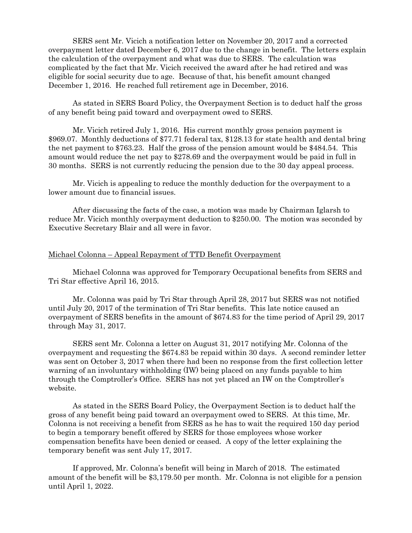SERS sent Mr. Vicich a notification letter on November 20, 2017 and a corrected overpayment letter dated December 6, 2017 due to the change in benefit. The letters explain the calculation of the overpayment and what was due to SERS. The calculation was complicated by the fact that Mr. Vicich received the award after he had retired and was eligible for social security due to age. Because of that, his benefit amount changed December 1, 2016. He reached full retirement age in December, 2016.

As stated in SERS Board Policy, the Overpayment Section is to deduct half the gross of any benefit being paid toward and overpayment owed to SERS.

Mr. Vicich retired July 1, 2016. His current monthly gross pension payment is \$969.07. Monthly deductions of \$77.71 federal tax, \$128.13 for state health and dental bring the net payment to \$763.23. Half the gross of the pension amount would be \$484.54. This amount would reduce the net pay to \$278.69 and the overpayment would be paid in full in 30 months. SERS is not currently reducing the pension due to the 30 day appeal process.

Mr. Vicich is appealing to reduce the monthly deduction for the overpayment to a lower amount due to financial issues.

After discussing the facts of the case, a motion was made by Chairman Iglarsh to reduce Mr. Vicich monthly overpayment deduction to \$250.00. The motion was seconded by Executive Secretary Blair and all were in favor.

## Michael Colonna – Appeal Repayment of TTD Benefit Overpayment

Michael Colonna was approved for Temporary Occupational benefits from SERS and Tri Star effective April 16, 2015.

Mr. Colonna was paid by Tri Star through April 28, 2017 but SERS was not notified until July 20, 2017 of the termination of Tri Star benefits. This late notice caused an overpayment of SERS benefits in the amount of \$674.83 for the time period of April 29, 2017 through May 31, 2017.

SERS sent Mr. Colonna a letter on August 31, 2017 notifying Mr. Colonna of the overpayment and requesting the \$674.83 be repaid within 30 days. A second reminder letter was sent on October 3, 2017 when there had been no response from the first collection letter warning of an involuntary withholding (IW) being placed on any funds payable to him through the Comptroller's Office. SERS has not yet placed an IW on the Comptroller's website.

As stated in the SERS Board Policy, the Overpayment Section is to deduct half the gross of any benefit being paid toward an overpayment owed to SERS. At this time, Mr. Colonna is not receiving a benefit from SERS as he has to wait the required 150 day period to begin a temporary benefit offered by SERS for those employees whose worker compensation benefits have been denied or ceased. A copy of the letter explaining the temporary benefit was sent July 17, 2017.

If approved, Mr. Colonna's benefit will being in March of 2018. The estimated amount of the benefit will be \$3,179.50 per month. Mr. Colonna is not eligible for a pension until April 1, 2022.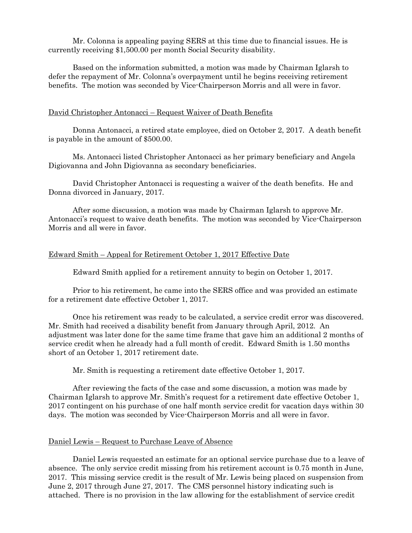Mr. Colonna is appealing paying SERS at this time due to financial issues. He is currently receiving \$1,500.00 per month Social Security disability.

Based on the information submitted, a motion was made by Chairman Iglarsh to defer the repayment of Mr. Colonna's overpayment until he begins receiving retirement benefits. The motion was seconded by Vice-Chairperson Morris and all were in favor.

### David Christopher Antonacci – Request Waiver of Death Benefits

Donna Antonacci, a retired state employee, died on October 2, 2017. A death benefit is payable in the amount of \$500.00.

Ms. Antonacci listed Christopher Antonacci as her primary beneficiary and Angela Digiovanna and John Digiovanna as secondary beneficiaries.

David Christopher Antonacci is requesting a waiver of the death benefits. He and Donna divorced in January, 2017.

After some discussion, a motion was made by Chairman Iglarsh to approve Mr. Antonacci's request to waive death benefits. The motion was seconded by Vice-Chairperson Morris and all were in favor.

#### Edward Smith – Appeal for Retirement October 1, 2017 Effective Date

Edward Smith applied for a retirement annuity to begin on October 1, 2017.

Prior to his retirement, he came into the SERS office and was provided an estimate for a retirement date effective October 1, 2017.

Once his retirement was ready to be calculated, a service credit error was discovered. Mr. Smith had received a disability benefit from January through April, 2012. An adjustment was later done for the same time frame that gave him an additional 2 months of service credit when he already had a full month of credit. Edward Smith is 1.50 months short of an October 1, 2017 retirement date.

Mr. Smith is requesting a retirement date effective October 1, 2017.

After reviewing the facts of the case and some discussion, a motion was made by Chairman Iglarsh to approve Mr. Smith's request for a retirement date effective October 1, 2017 contingent on his purchase of one half month service credit for vacation days within 30 days. The motion was seconded by Vice-Chairperson Morris and all were in favor.

### Daniel Lewis – Request to Purchase Leave of Absence

Daniel Lewis requested an estimate for an optional service purchase due to a leave of absence. The only service credit missing from his retirement account is 0.75 month in June, 2017. This missing service credit is the result of Mr. Lewis being placed on suspension from June 2, 2017 through June 27, 2017. The CMS personnel history indicating such is attached. There is no provision in the law allowing for the establishment of service credit